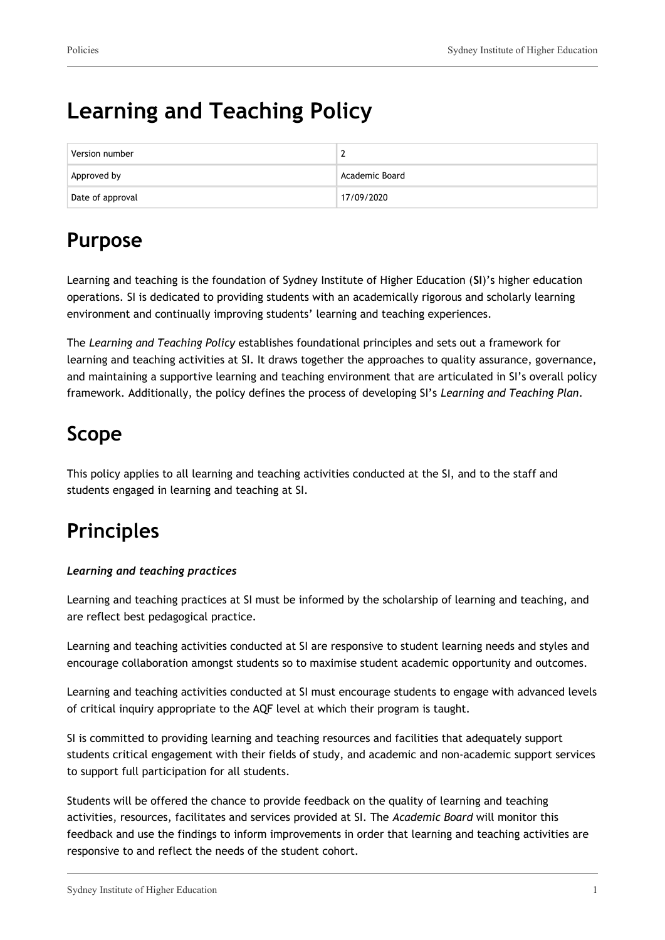# **Learning and Teaching Policy**

| Version number   |                |
|------------------|----------------|
| Approved by      | Academic Board |
| Date of approval | 17/09/2020     |

# **Purpose**

Learning and teaching is the foundation of Sydney Institute of Higher Education (**SI**)'s higher education operations. SI is dedicated to providing students with an academically rigorous and scholarly learning environment and continually improving students' learning and teaching experiences.

The *Learning and Teaching Policy* establishes foundational principles and sets out a framework for learning and teaching activities at SI. It draws together the approaches to quality assurance, governance, and maintaining a supportive learning and teaching environment that are articulated in SI's overall policy framework. Additionally, the policy defines the process of developing SI's *Learning and Teaching Plan*.

# **Scope**

This policy applies to all learning and teaching activities conducted at the SI, and to the staff and students engaged in learning and teaching at SI.

# **Principles**

### *Learning and teaching practices*

Learning and teaching practices at SI must be informed by the scholarship of learning and teaching, and are reflect best pedagogical practice.

Learning and teaching activities conducted at SI are responsive to student learning needs and styles and encourage collaboration amongst students so to maximise student academic opportunity and outcomes.

Learning and teaching activities conducted at SI must encourage students to engage with advanced levels of critical inquiry appropriate to the AQF level at which their program is taught.

SI is committed to providing learning and teaching resources and facilities that adequately support students critical engagement with their fields of study, and academic and non-academic support services to support full participation for all students.

Students will be offered the chance to provide feedback on the quality of learning and teaching activities, resources, facilitates and services provided at SI. The *Academic Board* will monitor this feedback and use the findings to inform improvements in order that learning and teaching activities are responsive to and reflect the needs of the student cohort.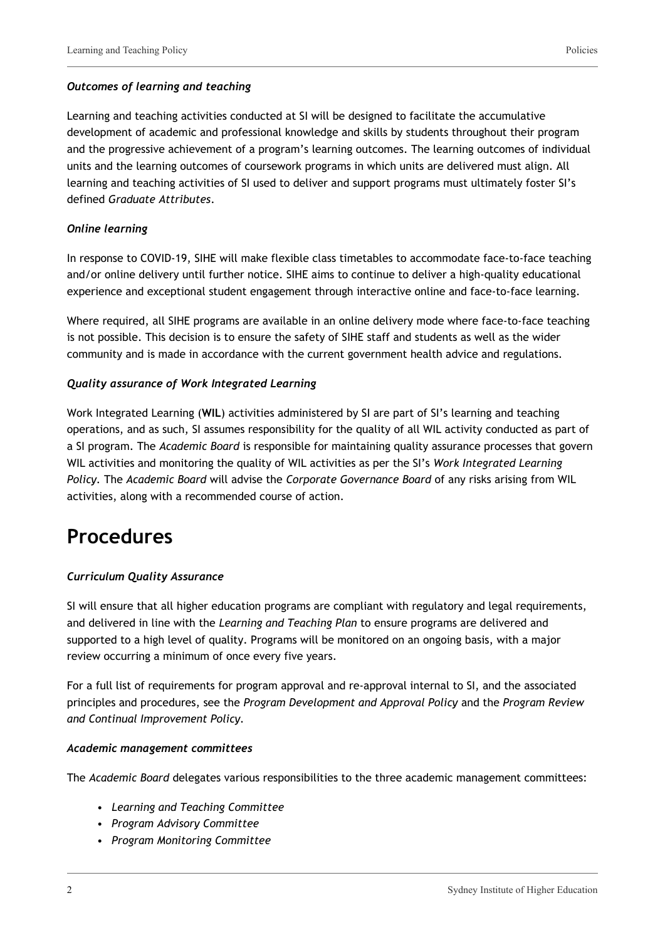#### *Outcomes of learning and teaching*

Learning and teaching activities conducted at SI will be designed to facilitate the accumulative development of academic and professional knowledge and skills by students throughout their program and the progressive achievement of a program's learning outcomes. The learning outcomes of individual units and the learning outcomes of coursework programs in which units are delivered must align. All learning and teaching activities of SI used to deliver and support programs must ultimately foster SI's defined *Graduate Attributes*.

#### *Online learning*

In response to COVID-19, SIHE will make flexible class timetables to accommodate face-to-face teaching and/or online delivery until further notice. SIHE aims to continue to deliver a high-quality educational experience and exceptional student engagement through interactive online and face-to-face learning.

Where required, all SIHE programs are available in an online delivery mode where face-to-face teaching is not possible. This decision is to ensure the safety of SIHE staff and students as well as the wider community and is made in accordance with the current government health advice and regulations.

#### *Quality assurance of Work Integrated Learning*

Work Integrated Learning (**WIL**) activities administered by SI are part of SI's learning and teaching operations, and as such, SI assumes responsibility for the quality of all WIL activity conducted as part of a SI program. The *Academic Board* is responsible for maintaining quality assurance processes that govern WIL activities and monitoring the quality of WIL activities as per the SI's *Work Integrated Learning Policy.* The *Academic Board* will advise the *Corporate Governance Board* of any risks arising from WIL activities, along with a recommended course of action.

### **Procedures**

### *Curriculum Quality Assurance*

SI will ensure that all higher education programs are compliant with regulatory and legal requirements, and delivered in line with the *Learning and Teaching Plan* to ensure programs are delivered and supported to a high level of quality. Programs will be monitored on an ongoing basis, with a major review occurring a minimum of once every five years.

For a full list of requirements for program approval and re-approval internal to SI, and the associated principles and procedures, see the *Program Development and Approval Policy* and the *Program Review and Continual Improvement Policy.*

#### *Academic management committees*

The *Academic Board* delegates various responsibilities to the three academic management committees:

- *Learning and Teaching Committee*
- *Program Advisory Committee*
- *Program Monitoring Committee*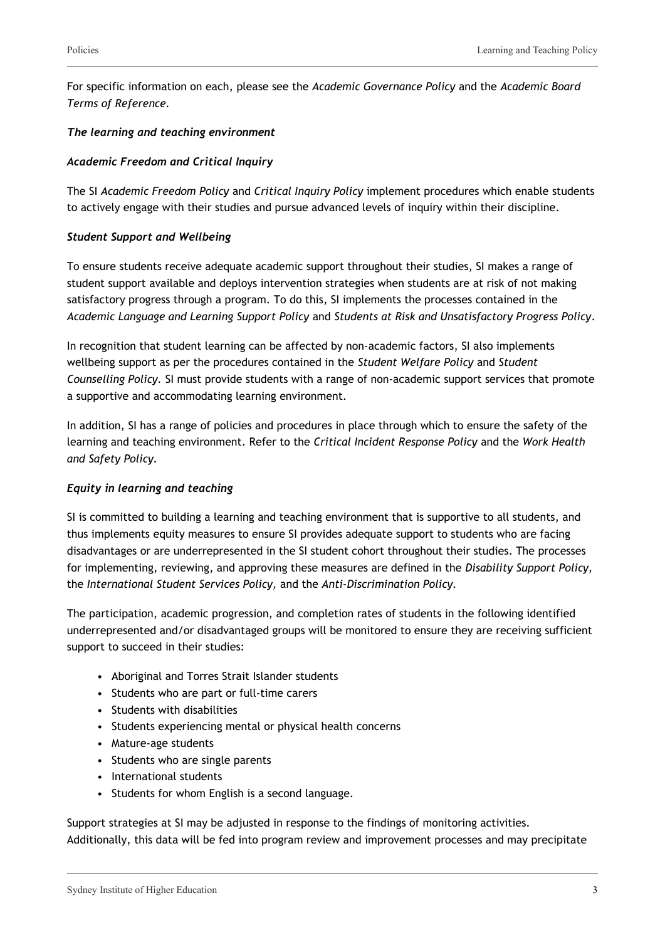For specific information on each, please see the *Academic Governance Policy* and the *Academic Board Terms of Reference.*

#### *The learning and teaching environment*

#### *Academic Freedom and Critical Inquiry*

The SI *Academic Freedom Policy* and *Critical Inquiry Policy* implement procedures which enable students to actively engage with their studies and pursue advanced levels of inquiry within their discipline.

#### *Student Support and Wellbeing*

To ensure students receive adequate academic support throughout their studies, SI makes a range of student support available and deploys intervention strategies when students are at risk of not making satisfactory progress through a program. To do this, SI implements the processes contained in the *Academic Language and Learning Support Policy* and *Students at Risk and Unsatisfactory Progress Policy*.

In recognition that student learning can be affected by non-academic factors, SI also implements wellbeing support as per the procedures contained in the *Student Welfare Policy* and *Student Counselling Policy.* SI must provide students with a range of non-academic support services that promote a supportive and accommodating learning environment.

In addition, SI has a range of policies and procedures in place through which to ensure the safety of the learning and teaching environment. Refer to the *Critical Incident Response Policy* and the *Work Health and Safety Policy.*

#### *Equity in learning and teaching*

SI is committed to building a learning and teaching environment that is supportive to all students, and thus implements equity measures to ensure SI provides adequate support to students who are facing disadvantages or are underrepresented in the SI student cohort throughout their studies. The processes for implementing, reviewing, and approving these measures are defined in the *Disability Support Policy,* the *International Student Services Policy,* and the *Anti-Discrimination Policy.*

The participation, academic progression, and completion rates of students in the following identified underrepresented and/or disadvantaged groups will be monitored to ensure they are receiving sufficient support to succeed in their studies:

- Aboriginal and Torres Strait Islander students
- Students who are part or full-time carers
- Students with disabilities
- Students experiencing mental or physical health concerns
- Mature-age students
- Students who are single parents
- International students
- Students for whom English is a second language.

Support strategies at SI may be adjusted in response to the findings of monitoring activities. Additionally, this data will be fed into program review and improvement processes and may precipitate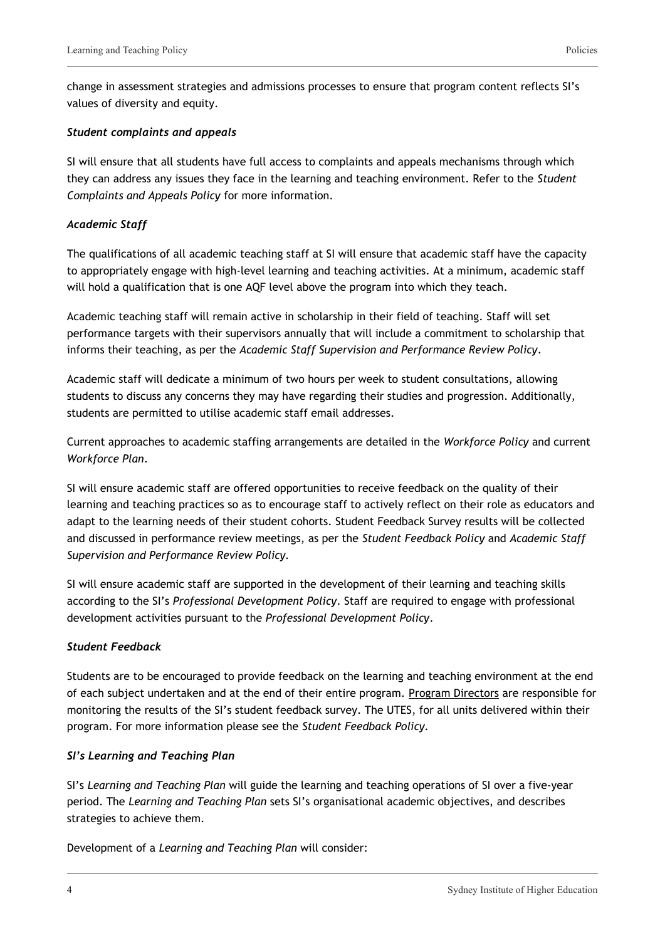change in assessment strategies and admissions processes to ensure that program content reflects SI's values of diversity and equity.

### *Student complaints and appeals*

SI will ensure that all students have full access to complaints and appeals mechanisms through which they can address any issues they face in the learning and teaching environment. Refer to the *Student Complaints and Appeals Policy* for more information.

#### *Academic Staff*

The qualifications of all academic teaching staff at SI will ensure that academic staff have the capacity to appropriately engage with high-level learning and teaching activities. At a minimum, academic staff will hold a qualification that is one AQF level above the program into which they teach.

Academic teaching staff will remain active in scholarship in their field of teaching. Staff will set performance targets with their supervisors annually that will include a commitment to scholarship that informs their teaching, as per the *Academic Staff Supervision and Performance Review Policy*.

Academic staff will dedicate a minimum of two hours per week to student consultations, allowing students to discuss any concerns they may have regarding their studies and progression. Additionally, students are permitted to utilise academic staff email addresses.

Current approaches to academic staffing arrangements are detailed in the *Workforce Policy* and current *Workforce Plan*.

SI will ensure academic staff are offered opportunities to receive feedback on the quality of their learning and teaching practices so as to encourage staff to actively reflect on their role as educators and adapt to the learning needs of their student cohorts. Student Feedback Survey results will be collected and discussed in performance review meetings, as per the *Student Feedback Policy* and *Academic Staff Supervision and Performance Review Policy.*

SI will ensure academic staff are supported in the development of their learning and teaching skills according to the SI's *Professional Development Policy*. Staff are required to engage with professional development activities pursuant to the *Professional Development Policy*.

### *Student Feedback*

Students are to be encouraged to provide feedback on the learning and teaching environment at the end of each subject undertaken and at the end of their entire program. Program Directors are responsible for monitoring the results of the SI's student feedback survey. The UTES, for all units delivered within their program. For more information please see the *Student Feedback Policy.*

### *SI's Learning and Teaching Plan*

SI's *Learning and Teaching Plan* will guide the learning and teaching operations of SI over a five-year period. The *Learning and Teaching Plan* sets SI's organisational academic objectives, and describes strategies to achieve them.

Development of a *Learning and Teaching Plan* will consider: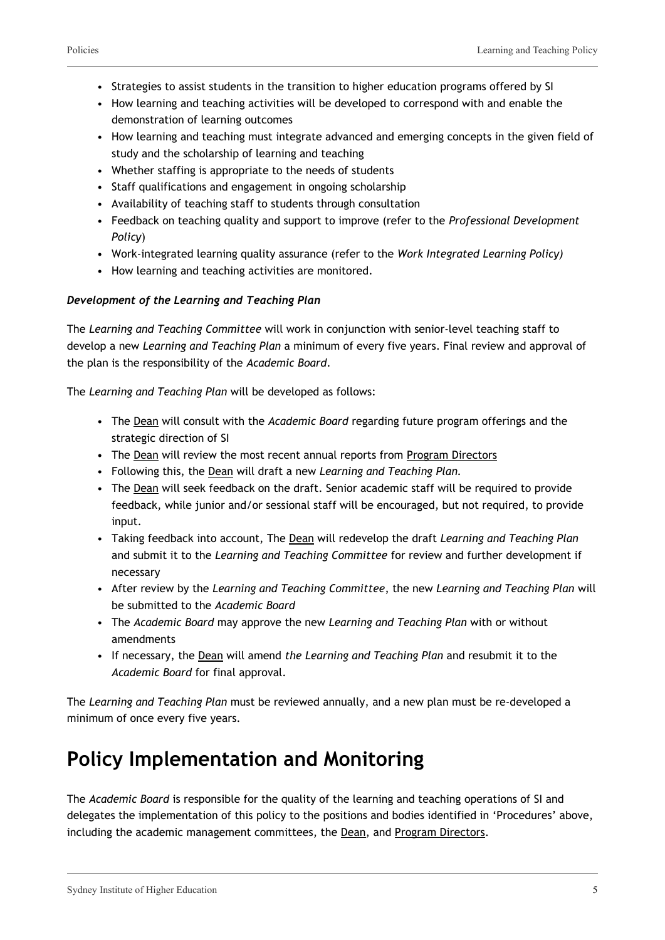- Strategies to assist students in the transition to higher education programs offered by SI
- How learning and teaching activities will be developed to correspond with and enable the demonstration of learning outcomes
- How learning and teaching must integrate advanced and emerging concepts in the given field of study and the scholarship of learning and teaching
- Whether staffing is appropriate to the needs of students
- Staff qualifications and engagement in ongoing scholarship
- Availability of teaching staff to students through consultation
- Feedback on teaching quality and support to improve (refer to the *Professional Development Policy*)
- Work-integrated learning quality assurance (refer to the *Work Integrated Learning Policy)*
- How learning and teaching activities are monitored.

### *Development of the Learning and Teaching Plan*

The *Learning and Teaching Committee* will work in conjunction with senior-level teaching staff to develop a new *Learning and Teaching Plan* a minimum of every five years. Final review and approval of the plan is the responsibility of the *Academic Board*.

The *Learning and Teaching Plan* will be developed as follows:

- The Dean will consult with the *Academic Board* regarding future program offerings and the strategic direction of SI
- The Dean will review the most recent annual reports from Program Directors
- Following this, the Dean will draft a new *Learning and Teaching Plan.*
- The Dean will seek feedback on the draft. Senior academic staff will be required to provide feedback, while junior and/or sessional staff will be encouraged, but not required, to provide input.
- Taking feedback into account, The Dean will redevelop the draft *Learning and Teaching Plan* and submit it to the *Learning and Teaching Committee* for review and further development if necessary
- After review by the *Learning and Teaching Committee*, the new *Learning and Teaching Plan* will be submitted to the *Academic Board*
- The *Academic Board* may approve the new *Learning and Teaching Plan* with or without amendments
- If necessary, the Dean will amend *the Learning and Teaching Plan* and resubmit it to the *Academic Board* for final approval.

The *Learning and Teaching Plan* must be reviewed annually, and a new plan must be re-developed a minimum of once every five years.

# **Policy Implementation and Monitoring**

The *Academic Board* is responsible for the quality of the learning and teaching operations of SI and delegates the implementation of this policy to the positions and bodies identified in 'Procedures' above, including the academic management committees, the Dean, and Program Directors.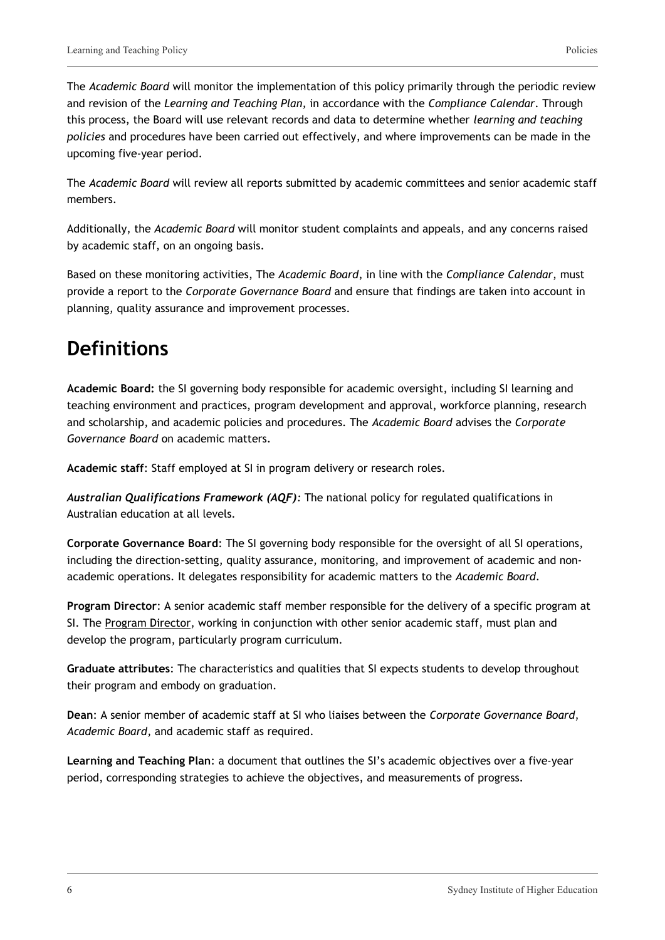The *Academic Board* will monitor the implementation of this policy primarily through the periodic review and revision of the *Learning and Teaching Plan,* in accordance with the *Compliance Calendar*. Through this process, the Board will use relevant records and data to determine whether *learning and teaching policies* and procedures have been carried out effectively, and where improvements can be made in the upcoming five-year period.

The *Academic Board* will review all reports submitted by academic committees and senior academic staff members.

Additionally, the *Academic Board* will monitor student complaints and appeals, and any concerns raised by academic staff, on an ongoing basis.

Based on these monitoring activities, The *Academic Board*, in line with the *Compliance Calendar*, must provide a report to the *Corporate Governance Board* and ensure that findings are taken into account in planning, quality assurance and improvement processes.

# **Definitions**

**Academic Board:** the SI governing body responsible for academic oversight, including SI learning and teaching environment and practices, program development and approval, workforce planning, research and scholarship, and academic policies and procedures. The *Academic Board* advises the *Corporate Governance Board* on academic matters.

**Academic staff**: Staff employed at SI in program delivery or research roles.

*Australian Qualifications Framework (AQF):* The national policy for regulated qualifications in Australian education at all levels.

**Corporate Governance Board**: The SI governing body responsible for the oversight of all SI operations, including the direction-setting, quality assurance, monitoring, and improvement of academic and nonacademic operations. It delegates responsibility for academic matters to the *Academic Board*.

**Program Director**: A senior academic staff member responsible for the delivery of a specific program at SI. The Program Director, working in conjunction with other senior academic staff, must plan and develop the program, particularly program curriculum.

**Graduate attributes**: The characteristics and qualities that SI expects students to develop throughout their program and embody on graduation.

**Dean**: A senior member of academic staff at SI who liaises between the *Corporate Governance Board*, *Academic Board*, and academic staff as required.

**Learning and Teaching Plan**: a document that outlines the SI's academic objectives over a five-year period, corresponding strategies to achieve the objectives, and measurements of progress.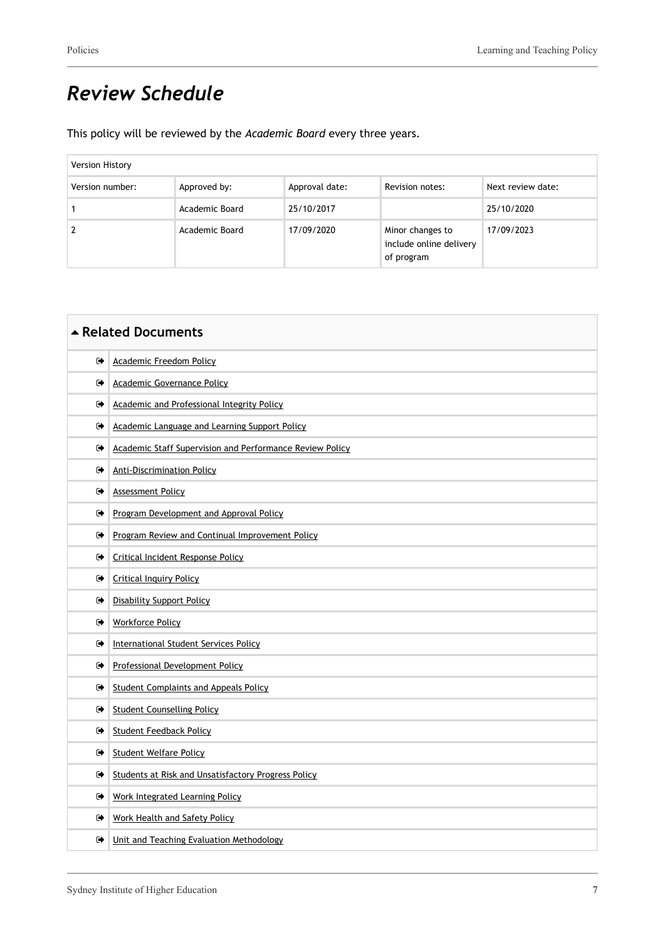# *Review Schedule*

This policy will be reviewed by the *Academic Board* every three years.

| Version History |                |                |                                                           |                   |
|-----------------|----------------|----------------|-----------------------------------------------------------|-------------------|
| Version number: | Approved by:   | Approval date: | Revision notes:                                           | Next review date: |
|                 | Academic Board | 25/10/2017     |                                                           | 25/10/2020        |
|                 | Academic Board | 17/09/2020     | Minor changes to<br>include online delivery<br>of program | 17/09/2023        |

| ▲ Related Documents |                                                            |  |
|---------------------|------------------------------------------------------------|--|
| ☞                   | <b>Academic Freedom Policy</b>                             |  |
| ☞                   | Academic Governance Policy                                 |  |
| ☞                   | Academic and Professional Integrity Policy                 |  |
| ☞                   | Academic Language and Learning Support Policy              |  |
| ☞                   | Academic Staff Supervision and Performance Review Policy   |  |
| ☞                   | <b>Anti-Discrimination Policy</b>                          |  |
| ☞                   | <b>Assessment Policy</b>                                   |  |
| ☞                   | Program Development and Approval Policy                    |  |
| ☞                   | Program Review and Continual Improvement Policy            |  |
| ☞                   | Critical Incident Response Policy                          |  |
| ☞                   | <b>Critical Inquiry Policy</b>                             |  |
| ☞                   | <b>Disability Support Policy</b>                           |  |
| ☞                   | <b>Workforce Policy</b>                                    |  |
| ☞                   | <b>International Student Services Policy</b>               |  |
| ☞                   | Professional Development Policy                            |  |
| ☞                   | <b>Student Complaints and Appeals Policy</b>               |  |
| ☞                   | <b>Student Counselling Policy</b>                          |  |
| ☞                   | <b>Student Feedback Policy</b>                             |  |
| ☞                   | <b>Student Welfare Policy</b>                              |  |
| ☞                   | <b>Students at Risk and Unsatisfactory Progress Policy</b> |  |
| ☞                   | <b>Work Integrated Learning Policy</b>                     |  |
| ☞                   | <b>Work Health and Safety Policy</b>                       |  |
| ☞                   | Unit and Teaching Evaluation Methodology                   |  |